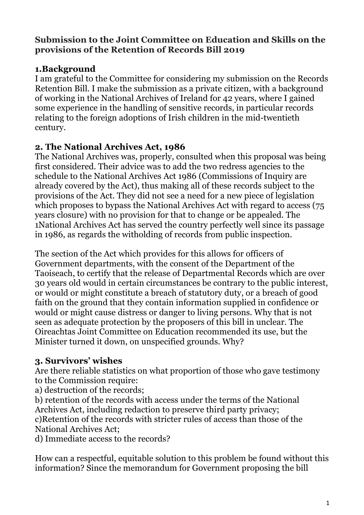#### **Submission to the Joint Committee on Education and Skills on the provisions of the Retention of Records Bill 2019**

## **1.Background**

I am grateful to the Committee for considering my submission on the Records Retention Bill. I make the submission as a private citizen, with a background of working in the National Archives of Ireland for 42 years, where I gained some experience in the handling of sensitive records, in particular records relating to the foreign adoptions of Irish children in the mid-twentieth century.

## **2. The National Archives Act, 1986**

The National Archives was, properly, consulted when this proposal was being first considered. Their advice was to add the two redress agencies to the schedule to the National Archives Act 1986 (Commissions of Inquiry are already covered by the Act), thus making all of these records subject to the provisions of the Act. They did not see a need for a new piece of legislation which proposes to bypass the National Archives Act with regard to access (75) years closure) with no provision for that to change or be appealed. The 1National Archives Act has served the country perfectly well since its passage in 1986, as regards the witholding of records from public inspection.

The section of the Act which provides for this allows for officers of Government departments, with the consent of the Department of the Taoiseach, to certify that the release of Departmental Records which are over 30 years old would in certain circumstances be contrary to the public interest, or would or might constitute a breach of statutory duty, or a breach of good faith on the ground that they contain information supplied in confidence or would or might cause distress or danger to living persons. Why that is not seen as adequate protection by the proposers of this bill in unclear. The Oireachtas Joint Committee on Education recommended its use, but the Minister turned it down, on unspecified grounds. Why?

## **3. Survivors' wishes**

Are there reliable statistics on what proportion of those who gave testimony to the Commission require:

a) destruction of the records;

b) retention of the records with access under the terms of the National Archives Act, including redaction to preserve third party privacy;

c)Retention of the records with stricter rules of access than those of the National Archives Act;

d) Immediate access to the records?

How can a respectful, equitable solution to this problem be found without this information? Since the memorandum for Government proposing the bill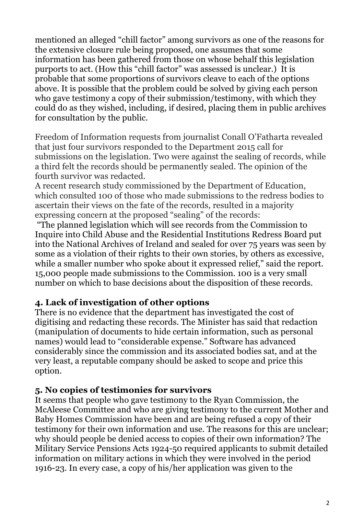mentioned an alleged "chill factor" among survivors as one of the reasons for the extensive closure rule being proposed, one assumes that some information has been gathered from those on whose behalf this legislation purports to act. (How this "chill factor" was assessed is unclear.) It is probable that some proportions of survivors cleave to each of the options above. It is possible that the problem could be solved by giving each person who gave testimony a copy of their submission/testimony, with which they could do as they wished, including, if desired, placing them in public archives for consultation by the public.

Freedom of Information requests from journalist Conall O'Fatharta revealed that just four survivors responded to the Department 2015 call for submissions on the legislation. Two were against the sealing of records, while a third felt the records should be permanently sealed. The opinion of the fourth survivor was redacted.

A recent research study commissioned by the Department of Education, which consulted 100 of those who made submissions to the redress bodies to ascertain their views on the fate of the records, resulted in a majority expressing concern at the proposed "sealing" of the records:

"The planned legislation which will see records from the Commission to Inquire into Child Abuse and the Residential Institutions Redress Board put into the National Archives of Ireland and sealed for over 75 years was seen by some as a violation of their rights to their own stories, by others as excessive, while a smaller number who spoke about it expressed relief," said the report. 15,000 people made submissions to the Commission. 100 is a very small number on which to base decisions about the disposition of these records.

## **4. Lack of investigation of other options**

There is no evidence that the department has investigated the cost of digitising and redacting these records. The Minister has said that redaction (manipulation of documents to hide certain information, such as personal names) would lead to "considerable expense." Software has advanced considerably since the commission and its associated bodies sat, and at the very least, a reputable company should be asked to scope and price this option.

#### **5. No copies of testimonies for survivors**

It seems that people who gave testimony to the Ryan Commission, the McAleese Committee and who are giving testimony to the current Mother and Baby Homes Commission have been and are being refused a copy of their testimony for their own information and use. The reasons for this are unclear; why should people be denied access to copies of their own information? The Military Service Pensions Acts 1924-50 required applicants to submit detailed information on military actions in which they were involved in the period 1916-23. In every case, a copy of his/her application was given to the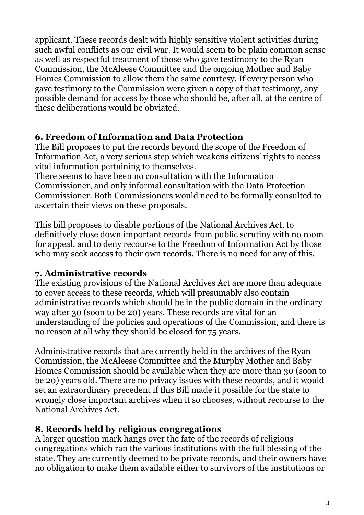applicant. These records dealt with highly sensitive violent activities during such awful conflicts as our civil war. It would seem to be plain common sense as well as respectful treatment of those who gave testimony to the Ryan Commission, the McAleese Committee and the ongoing Mother and Baby Homes Commission to allow them the same courtesy. If every person who gave testimony to the Commission were given a copy of that testimony, any possible demand for access by those who should be, after all, at the centre of these deliberations would be obviated.

## **6. Freedom of Information and Data Protection**

The Bill proposes to put the records beyond the scope of the Freedom of Information Act, a very serious step which weakens citizens' rights to access vital information pertaining to themselves.

There seems to have been no consultation with the Information Commissioner, and only informal consultation with the Data Protection Commissioner. Both Commissioners would need to be formally consulted to ascertain their views on these proposals.

This bill proposes to disable portions of the National Archives Act, to definitively close down important records from public scrutiny with no room for appeal, and to deny recourse to the Freedom of Information Act by those who may seek access to their own records. There is no need for any of this.

#### **7. Administrative records**

The existing provisions of the National Archives Act are more than adequate to cover access to these records, which will presumably also contain administrative records which should be in the public domain in the ordinary way after 30 (soon to be 20) years. These records are vital for an understanding of the policies and operations of the Commission, and there is no reason at all why they should be closed for 75 years.

Administrative records that are currently held in the archives of the Ryan Commission, the McAleese Committee and the Murphy Mother and Baby Homes Commission should be available when they are more than 30 (soon to be 20) years old. There are no privacy issues with these records, and it would set an extraordinary precedent if this Bill made it possible for the state to wrongly close important archives when it so chooses, without recourse to the National Archives Act.

#### **8. Records held by religious congregations**

A larger question mark hangs over the fate of the records of religious congregations which ran the various institutions with the full blessing of the state. They are currently deemed to be private records, and their owners have no obligation to make them available either to survivors of the institutions or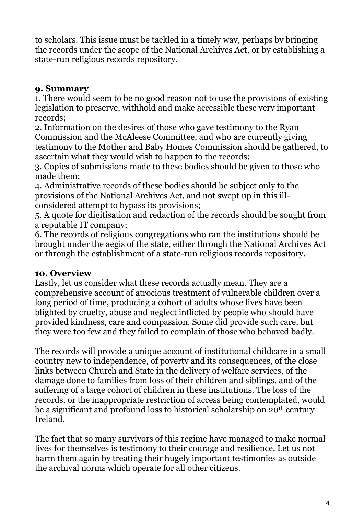to scholars. This issue must be tackled in a timely way, perhaps by bringing the records under the scope of the National Archives Act, or by establishing a state-run religious records repository.

# **9. Summary**

1. There would seem to be no good reason not to use the provisions of existing legislation to preserve, withhold and make accessible these very important records;

2. Information on the desires of those who gave testimony to the Ryan Commission and the McAleese Committee, and who are currently giving testimony to the Mother and Baby Homes Commission should be gathered, to ascertain what they would wish to happen to the records;

3. Copies of submissions made to these bodies should be given to those who made them;

4. Administrative records of these bodies should be subject only to the provisions of the National Archives Act, and not swept up in this illconsidered attempt to bypass its provisions;

5. A quote for digitisation and redaction of the records should be sought from a reputable IT company;

6. The records of religious congregations who ran the institutions should be brought under the aegis of the state, either through the National Archives Act or through the establishment of a state-run religious records repository.

## **10. Overview**

Lastly, let us consider what these records actually mean. They are a comprehensive account of atrocious treatment of vulnerable children over a long period of time, producing a cohort of adults whose lives have been blighted by cruelty, abuse and neglect inflicted by people who should have provided kindness, care and compassion. Some did provide such care, but they were too few and they failed to complain of those who behaved badly.

The records will provide a unique account of institutional childcare in a small country new to independence, of poverty and its consequences, of the close links between Church and State in the delivery of welfare services, of the damage done to families from loss of their children and siblings, and of the suffering of a large cohort of children in these institutions. The loss of the records, or the inappropriate restriction of access being contemplated, would be a significant and profound loss to historical scholarship on 20<sup>th</sup> century Ireland.

The fact that so many survivors of this regime have managed to make normal lives for themselves is testimony to their courage and resilience. Let us not harm them again by treating their hugely important testimonies as outside the archival norms which operate for all other citizens.